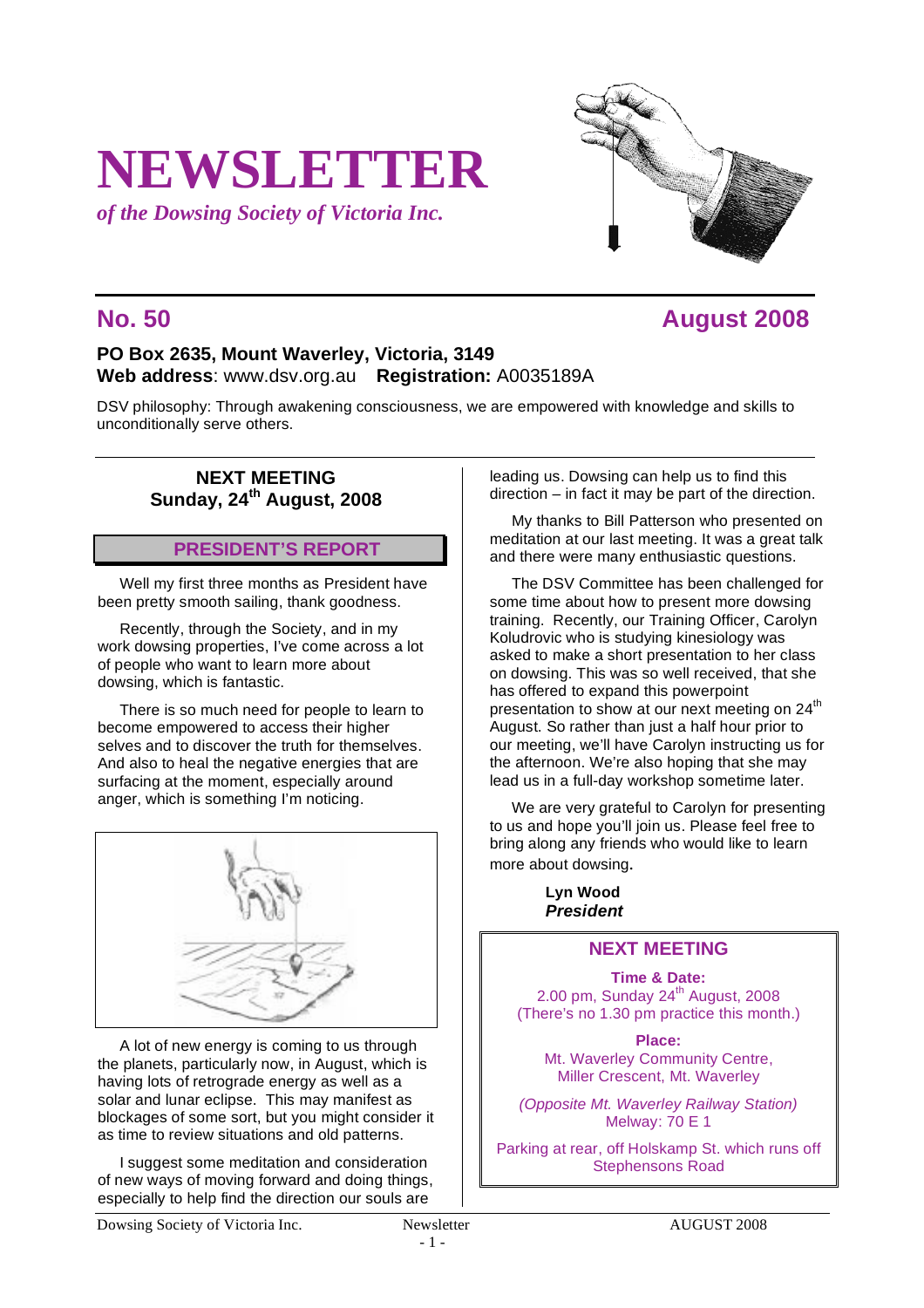# **NEWSLETTER**

*of the Dowsing Society of Victoria Inc.*

# **No. 50 August 2008**

# **PO Box 2635, Mount Waverley, Victoria, 3149 Web address**: www.dsv.org.au **Registration:** A0035189A

DSV philosophy: Through awakening consciousness, we are empowered with knowledge and skills to unconditionally serve others.

#### **NEXT MEETING Sunday, 24th August, 2008**

# **PRESIDENT'S REPORT**

Well my first three months as President have been pretty smooth sailing, thank goodness.

Recently, through the Society, and in my work dowsing properties, I've come across a lot of people who want to learn more about dowsing, which is fantastic.

There is so much need for people to learn to become empowered to access their higher selves and to discover the truth for themselves. And also to heal the negative energies that are surfacing at the moment, especially around anger, which is something I'm noticing.



A lot of new energy is coming to us through the planets, particularly now, in August, which is having lots of retrograde energy as well as a solar and lunar eclipse. This may manifest as blockages of some sort, but you might consider it as time to review situations and old patterns.

I suggest some meditation and consideration of new ways of moving forward and doing things, especially to help find the direction our souls are

leading us. Dowsing can help us to find this direction – in fact it may be part of the direction.

My thanks to Bill Patterson who presented on meditation at our last meeting. It was a great talk and there were many enthusiastic questions.

The DSV Committee has been challenged for some time about how to present more dowsing training. Recently, our Training Officer, Carolyn Koludrovic who is studying kinesiology was asked to make a short presentation to her class on dowsing. This was so well received, that she has offered to expand this powerpoint presentation to show at our next meeting on 24<sup>th</sup> August. So rather than just a half hour prior to our meeting, we'll have Carolyn instructing us for the afternoon. We're also hoping that she may lead us in a full-day workshop sometime later.

We are very grateful to Carolyn for presenting to us and hope you'll join us. Please feel free to bring along any friends who would like to learn more about dowsing.

> **Lyn Wood**  *President*

# **NEXT MEETING**

**Time & Date:** 2.00 pm, Sunday  $24<sup>th</sup>$  August, 2008 (There's no 1.30 pm practice this month.)

**Place:** Mt. Waverley Community Centre, Miller Crescent, Mt. Waverley

*(Opposite Mt. Waverley Railway Station)* Melway: 70 E 1

Parking at rear, off Holskamp St. which runs off Stephensons Road

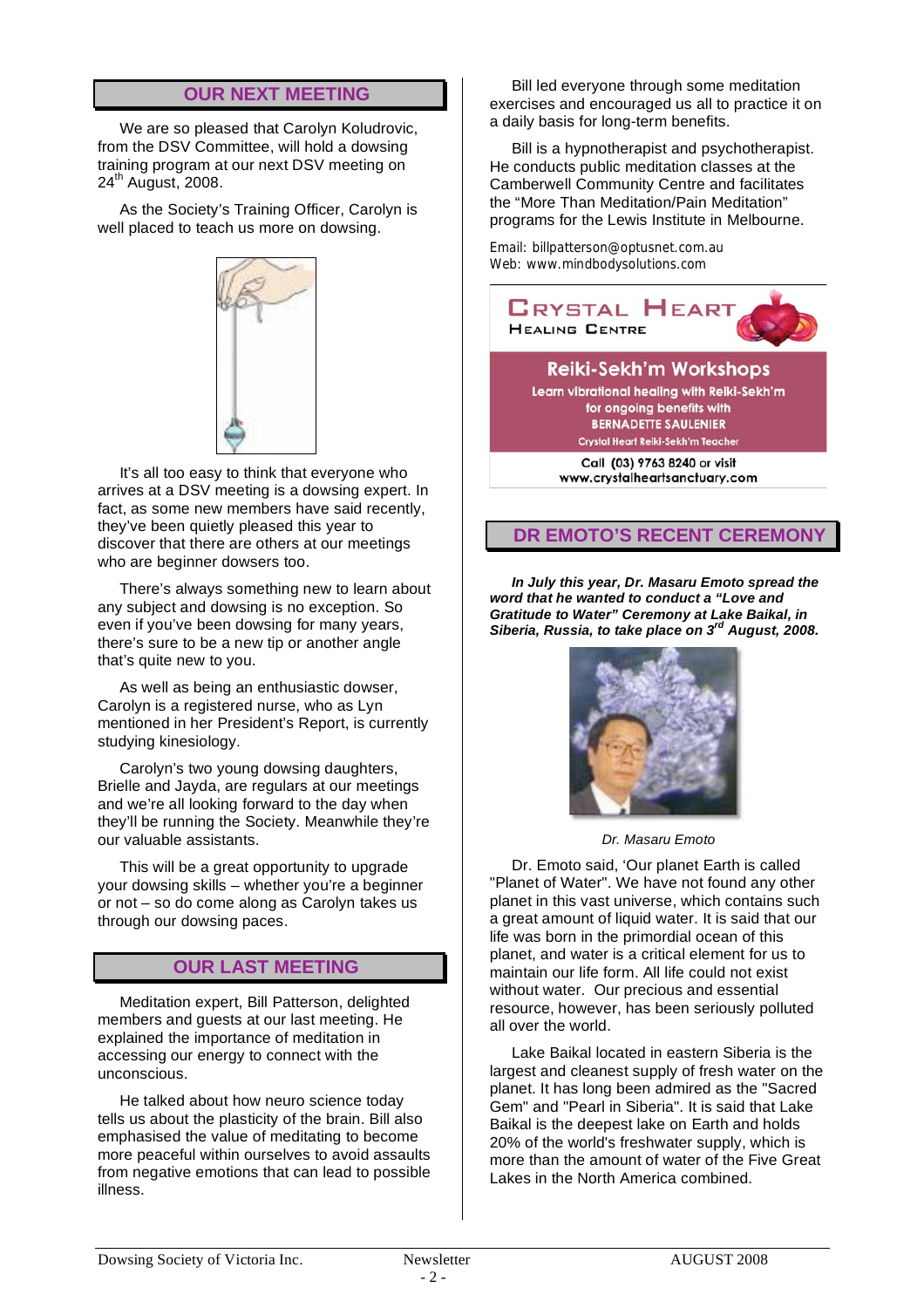# **OUR NEXT MEETING**

We are so pleased that Carolyn Koludrovic, from the DSV Committee, will hold a dowsing training program at our next DSV meeting on 24<sup>th</sup> August, 2008.

As the Society's Training Officer, Carolyn is well placed to teach us more on dowsing.



It's all too easy to think that everyone who arrives at a DSV meeting is a dowsing expert. In fact, as some new members have said recently, they've been quietly pleased this year to discover that there are others at our meetings who are beginner dowsers too.

There's always something new to learn about any subject and dowsing is no exception. So even if you've been dowsing for many years, there's sure to be a new tip or another angle that's quite new to you.

As well as being an enthusiastic dowser, Carolyn is a registered nurse, who as Lyn mentioned in her President's Report, is currently studying kinesiology.

Carolyn's two young dowsing daughters, Brielle and Jayda, are regulars at our meetings and we're all looking forward to the day when they'll be running the Society. Meanwhile they're our valuable assistants.

This will be a great opportunity to upgrade your dowsing skills – whether you're a beginner or not – so do come along as Carolyn takes us through our dowsing paces.

#### **OUR LAST MEETING**

Meditation expert, Bill Patterson, delighted members and guests at our last meeting. He explained the importance of meditation in accessing our energy to connect with the unconscious.

He talked about how neuro science today tells us about the plasticity of the brain. Bill also emphasised the value of meditating to become more peaceful within ourselves to avoid assaults from negative emotions that can lead to possible illness.

Bill led everyone through some meditation exercises and encouraged us all to practice it on a daily basis for long-term benefits.

Bill is a hypnotherapist and psychotherapist. He conducts public meditation classes at the Camberwell Community Centre and facilitates the "More Than Meditation/Pain Meditation" programs for the Lewis Institute in Melbourne.

Email: billpatterson@optusnet.com.au Web: www.mindbodysolutions.com



#### **Reiki-Sekh'm Workshops**

Learn vibrational healing with Reiki-Sekh'm for ongoing benefits with **BERNADETTE SAULENIER** Crystal Heart Reiki-Sekh'm Teacher

> Call (03) 9763 8240 or visit www.crystalheartsanctuary.com

#### **DR EMOTO'S RECENT CEREMONY**

*In July this year, Dr. Masaru Emoto spread the word that he wanted to conduct a "Love and Gratitude to Water" Ceremony at Lake Baikal, in Siberia, Russia, to take place on 3rd August, 2008.*



*Dr. Masaru Emoto*

Dr. Emoto said, 'Our planet Earth is called "Planet of Water". We have not found any other planet in this vast universe, which contains such a great amount of liquid water. It is said that our life was born in the primordial ocean of this planet, and water is a critical element for us to maintain our life form. All life could not exist without water. Our precious and essential resource, however, has been seriously polluted all over the world.

Lake Baikal located in eastern Siberia is the largest and cleanest supply of fresh water on the planet. It has long been admired as the "Sacred Gem" and "Pearl in Siberia". It is said that Lake Baikal is the deepest lake on Earth and holds 20% of the world's freshwater supply, which is more than the amount of water of the Five Great Lakes in the North America combined.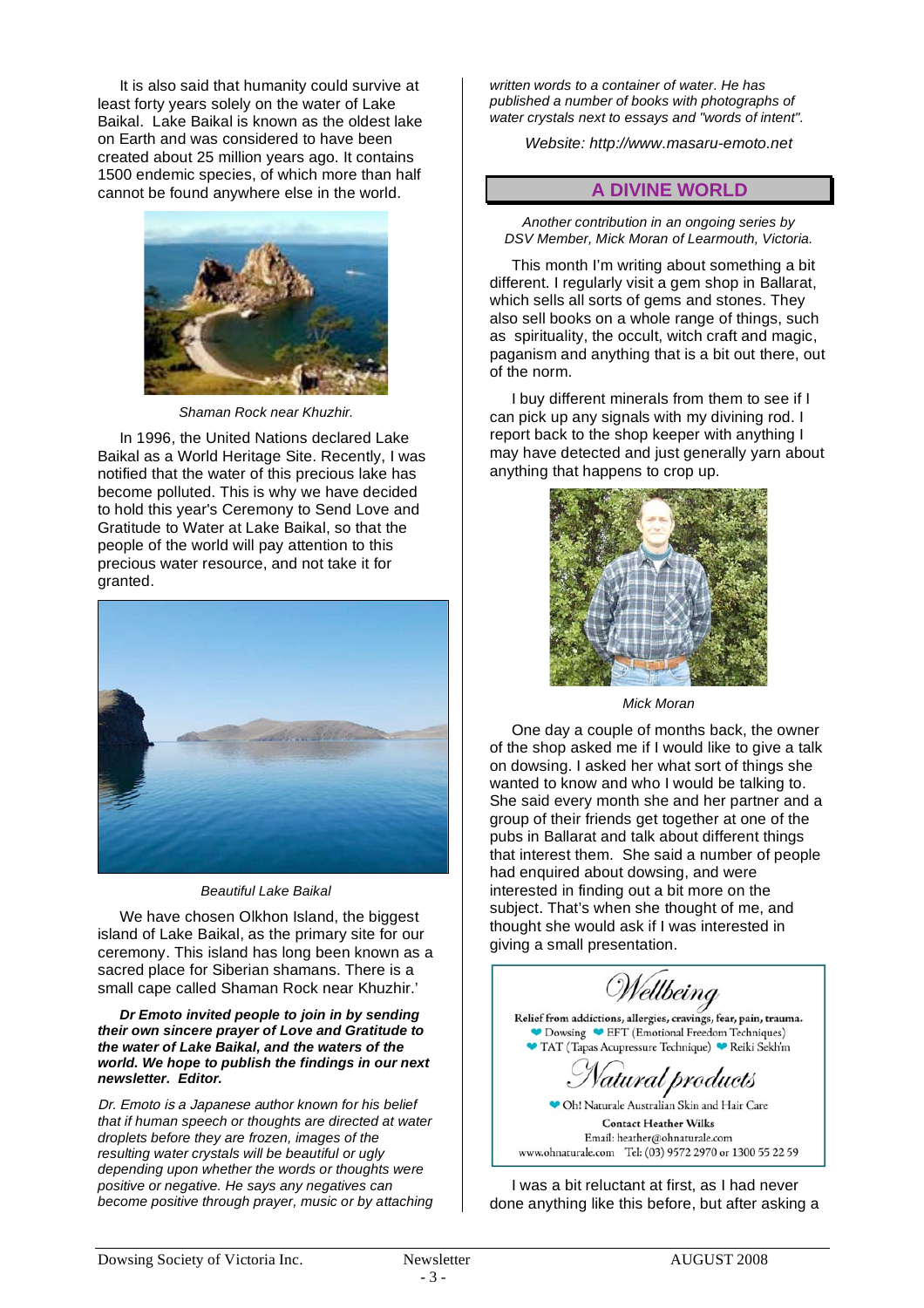It is also said that humanity could survive at least forty years solely on the water of Lake Baikal. Lake Baikal is known as the oldest lake on Earth and was considered to have been created about 25 million years ago. It contains 1500 endemic species, of which more than half cannot be found anywhere else in the world.



*Shaman Rock near Khuzhir.*

In 1996, the United Nations declared Lake Baikal as a World Heritage Site. Recently, I was notified that the water of this precious lake has become polluted. This is why we have decided to hold this year's Ceremony to Send Love and Gratitude to Water at Lake Baikal, so that the people of the world will pay attention to this precious water resource, and not take it for granted.



*Beautiful Lake Baikal*

We have chosen Olkhon Island, the biggest island of Lake Baikal, as the primary site for our ceremony. This island has long been known as a sacred place for Siberian shamans. There is a small cape called Shaman Rock near Khuzhir.'

*Dr Emoto invited people to join in by sending their own sincere prayer of Love and Gratitude to the water of Lake Baikal, and the waters of the world. We hope to publish the findings in our next newsletter. Editor.*

Dr. Emoto is a Japanese a*uthor known for his belief that if human speech or thoughts are directed at water droplets before they are frozen, images of the resulting water crystals will be beautiful or ugly depending upon whether the words or thoughts were positive or negative. He says any negatives can become positive through prayer, music or by attaching* 

*written words to a container of water. He has published a number of books with photographs of water crystals next to essays and "words of intent".*

*Website: http://www.masaru-emoto.net*

#### **A DIVINE WORLD**

*Another contribution in an ongoing series by DSV Member, Mick Moran of Learmouth, Victoria.*

This month I'm writing about something a bit different. I regularly visit a gem shop in Ballarat, which sells all sorts of gems and stones. They also sell books on a whole range of things, such as spirituality, the occult, witch craft and magic, paganism and anything that is a bit out there, out of the norm.

I buy different minerals from them to see if I can pick up any signals with my divining rod. I report back to the shop keeper with anything I may have detected and just generally yarn about anything that happens to crop up.



*Mick Moran*

One day a couple of months back, the owner of the shop asked me if I would like to give a talk on dowsing. I asked her what sort of things she wanted to know and who I would be talking to. She said every month she and her partner and a group of their friends get together at one of the pubs in Ballarat and talk about different things that interest them. She said a number of people had enquired about dowsing, and were interested in finding out a bit more on the subject. That's when she thought of me, and thought she would ask if I was interested in giving a small presentation.

Wellbeing Relief from addictions, allergies, cravings, fear, pain, trauma. Dowsing <sup>C</sup> EFT (Emotional Freedom Techniques) TAT (Tapas Acupressure Technique) Reiki Sekh'm 'atural products Oh! Naturale Australian Skin and Hair Care **Contact Heather Wilks** Email: heather@ohnaturale.com www.ohnaturale.com Tel: (03) 9572 2970 or 1300 55 22 59

I was a bit reluctant at first, as I had never done anything like this before, but after asking a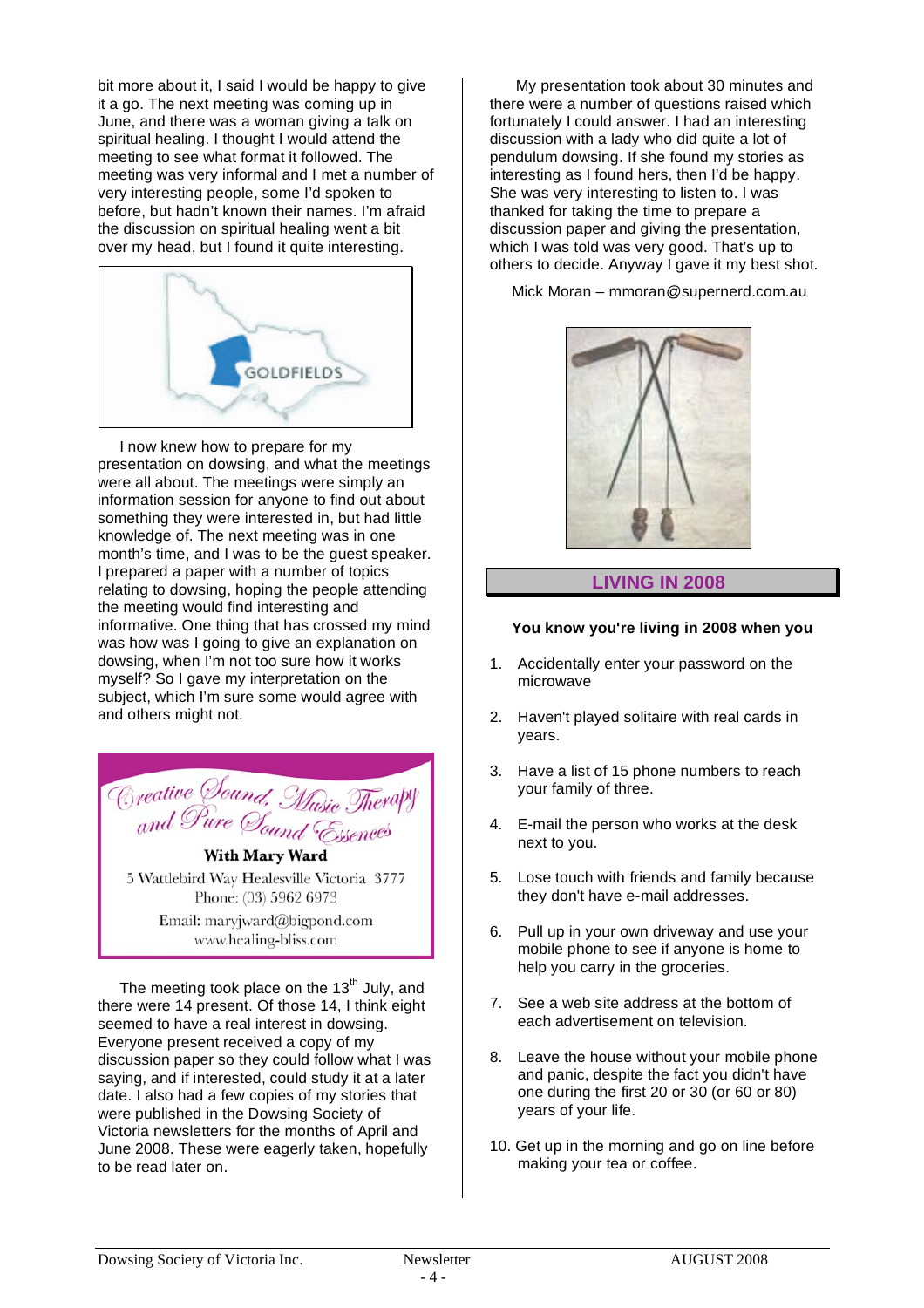bit more about it, I said I would be happy to give it a go. The next meeting was coming up in June, and there was a woman giving a talk on spiritual healing. I thought I would attend the meeting to see what format it followed. The meeting was very informal and I met a number of very interesting people, some I'd spoken to before, but hadn't known their names. I'm afraid the discussion on spiritual healing went a bit over my head, but I found it quite interesting.



I now knew how to prepare for my presentation on dowsing, and what the meetings were all about. The meetings were simply an information session for anyone to find out about something they were interested in, but had little knowledge of. The next meeting was in one month's time, and I was to be the guest speaker. I prepared a paper with a number of topics relating to dowsing, hoping the people attending the meeting would find interesting and informative. One thing that has crossed my mind was how was I going to give an explanation on dowsing, when I'm not too sure how it works myself? So I gave my interpretation on the subject, which I'm sure some would agree with and others might not.

Creative Sound, Music Therapy<br>and Pure Sound Essences **With Mary Ward** 

5 Wattlebird Way Healesville Victoria 3777 Phone: (03) 5962 6973

Email: maryjward@bigpond.com www.healing-bliss.com

The meeting took place on the  $13<sup>th</sup>$  July, and there were 14 present. Of those 14, I think eight seemed to have a real interest in dowsing. Everyone present received a copy of my discussion paper so they could follow what I was saying, and if interested, could study it at a later date. I also had a few copies of my stories that were published in the Dowsing Society of Victoria newsletters for the months of April and June 2008. These were eagerly taken, hopefully to be read later on.

My presentation took about 30 minutes and there were a number of questions raised which fortunately I could answer. I had an interesting discussion with a lady who did quite a lot of pendulum dowsing. If she found my stories as interesting as I found hers, then I'd be happy. She was very interesting to listen to. I was thanked for taking the time to prepare a discussion paper and giving the presentation, which I was told was very good. That's up to others to decide. Anyway I gave it my best shot.

Mick Moran – mmoran@supernerd.com.au



#### **LIVING IN 2008**

#### **You know you're living in 2008 when you**

- 1. Accidentally enter your password on the microwave
- 2. Haven't played solitaire with real cards in years.
- 3. Have a list of 15 phone numbers to reach your family of three.
- 4. E-mail the person who works at the desk next to you.
- 5. Lose touch with friends and family because they don't have e-mail addresses.
- 6. Pull up in your own driveway and use your mobile phone to see if anyone is home to help you carry in the groceries.
- 7. See a web site address at the bottom of each advertisement on television.
- 8. Leave the house without your mobile phone and panic, despite the fact you didn't have one during the first 20 or 30 (or 60 or 80) years of your life.
- 10. Get up in the morning and go on line before making your tea or coffee.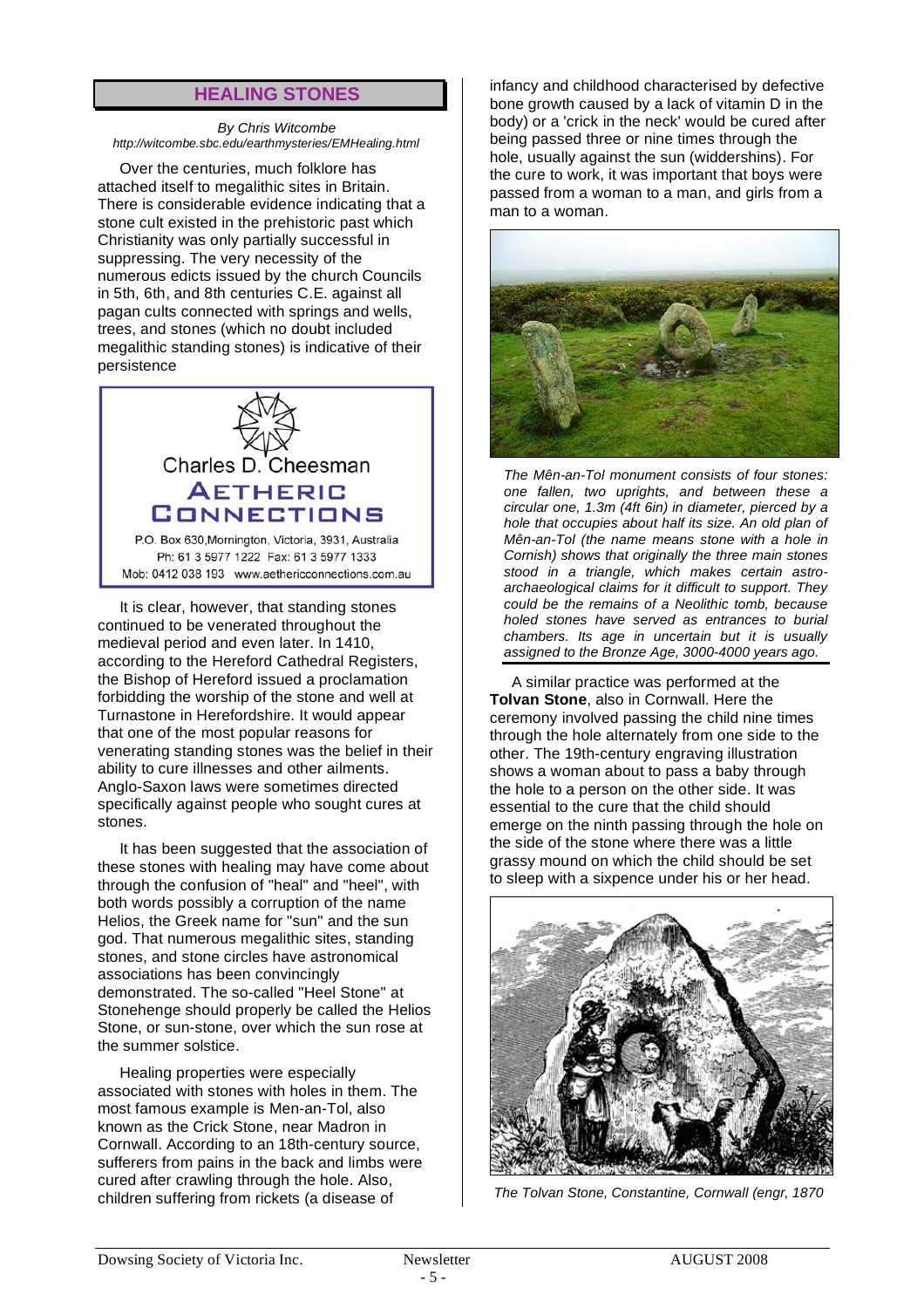#### **HEALING STONES**

#### *By Chris Witcombe http://witcombe.sbc.edu/earthmysteries/EMHealing.html*

Over the centuries, much folklore has attached itself to megalithic sites in Britain. There is considerable evidence indicating that a stone cult existed in the prehistoric past which Christianity was only partially successful in suppressing. The very necessity of the numerous edicts issued by the church Councils in 5th, 6th, and 8th centuries C.E. against all pagan cults connected with springs and wells, trees, and stones (which no doubt included megalithic standing stones) is indicative of their persistence



Ph: 61 3 5977 1222 Fax: 61 3 5977 1333 Mob: 0412 038 193 www.aethericconnections.com.au

It is clear, however, that standing stones continued to be venerated throughout the medieval period and even later. In 1410, according to the Hereford Cathedral Registers, the Bishop of Hereford issued a proclamation forbidding the worship of the stone and well at Turnastone in Herefordshire. It would appear that one of the most popular reasons for venerating standing stones was the belief in their ability to cure illnesses and other ailments. Anglo-Saxon laws were sometimes directed specifically against people who sought cures at stones.

It has been suggested that the association of these stones with healing may have come about through the confusion of "heal" and "heel", with both words possibly a corruption of the name Helios, the Greek name for "sun" and the sun god. That numerous megalithic sites, standing stones, and stone circles have astronomical associations has been convincingly demonstrated. The so-called "Heel Stone" at Stonehenge should properly be called the Helios Stone, or sun-stone, over which the sun rose at the summer solstice.

Healing properties were especially associated with stones with holes in them. The most famous example is Men-an-Tol, also known as the Crick Stone, near Madron in Cornwall. According to an 18th-century source, sufferers from pains in the back and limbs were cured after crawling through the hole. Also, children suffering from rickets (a disease of

infancy and childhood characterised by defective bone growth caused by a lack of vitamin D in the body) or a 'crick in the neck' would be cured after being passed three or nine times through the hole, usually against the sun (widdershins). For the cure to work, it was important that boys were passed from a woman to a man, and girls from a man to a woman.



*The Mên-an-Tol monument consists of four stones: one fallen, two uprights, and between these a circular one, 1.3m (4ft 6in) in diameter, pierced by a hole that occupies about half its size. An old plan of Mên-an-Tol (the name means stone with a hole in Cornish) shows that originally the three main stones stood in a triangle, which makes certain astroarchaeological claims for it difficult to support. They could be the remains of a Neolithic tomb, because holed stones have served as entrances to burial chambers. Its age in uncertain but it is usually assigned to the Bronze Age, 3000-4000 years ago.*

A similar practice was performed at the **Tolvan Stone**, also in Cornwall. Here the ceremony involved passing the child nine times through the hole alternately from one side to the other. The 19th-century engraving illustration shows a woman about to pass a baby through the hole to a person on the other side. It was essential to the cure that the child should emerge on the ninth passing through the hole on the side of the stone where there was a little grassy mound on which the child should be set to sleep with a sixpence under his or her head.



*The Tolvan Stone, Constantine, Cornwall (engr, 1870*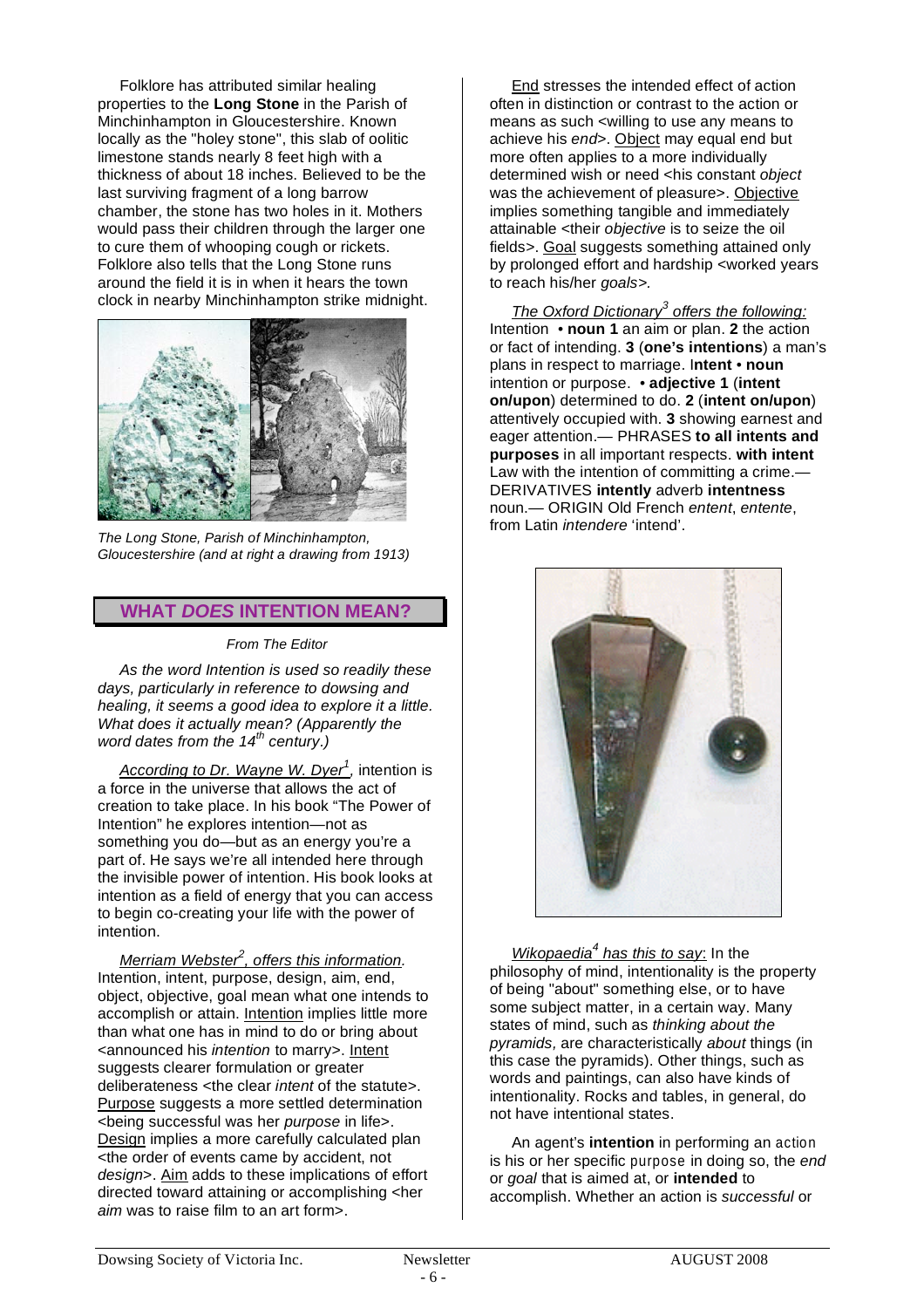Folklore has attributed similar healing properties to the **Long Stone** in the Parish of Minchinhampton in Gloucestershire. Known locally as the "holey stone", this slab of oolitic limestone stands nearly 8 feet high with a thickness of about 18 inches. Believed to be the last surviving fragment of a long barrow chamber, the stone has two holes in it. Mothers would pass their children through the larger one to cure them of whooping cough or rickets. Folklore also tells that the Long Stone runs around the field it is in when it hears the town clock in nearby Minchinhampton strike midnight.



*The Long Stone, Parish of Minchinhampton, Gloucestershire (and at right a drawing from 1913)*

#### **WHAT** *DOES* **INTENTION MEAN?**

*From The Editor*

*As the word Intention is used so readily these days, particularly in reference to dowsing and healing, it seems a good idea to explore it a little. What does it actually mean? (Apparently the word dates from the 14th century.)*

*According to Dr. Wayne W. Dyer<sup>1</sup> ,* intention is a force in the universe that allows the act of creation to take place. In his book "The Power of Intention" he explores intention—not as something you do—but as an energy you're a part of. He says we're all intended here through the invisible power of intention. His book looks at intention as a field of energy that you can access to begin co-creating your life with the power of intention.

*Merriam Webster<sup>2</sup> , offers this information.* Intention, intent, purpose, design, aim, end, object, objective, goal mean what one intends to accomplish or attain. Intention implies little more than what one has in mind to do or bring about <announced his *intention* to marry>. Intent suggests clearer formulation or greater deliberateness <the clear *intent* of the statute>. Purpose suggests a more settled determination <being successful was her *purpose* in life>. Design implies a more carefully calculated plan <the order of events came by accident, not *design*>. Aim adds to these implications of effort directed toward attaining or accomplishing <her *aim* was to raise film to an art form>.

End stresses the intended effect of action often in distinction or contrast to the action or means as such <willing to use any means to achieve his *end*>. Object may equal end but more often applies to a more individually determined wish or need <his constant *object* was the achievement of pleasure>. Objective implies something tangible and immediately attainable <their *objective* is to seize the oil fields>. Goal suggests something attained only by prolonged effort and hardship <worked years to reach his/her *goals>.*

*The Oxford Dictionary<sup>3</sup> offers the following:* Intention • **noun 1** an aim or plan. **2** the action or fact of intending. **3** (**one's intentions**) a man's plans in respect to marriage. I**ntent** • **noun** intention or purpose. • **adjective 1** (**intent on/upon**) determined to do. **2** (**intent on/upon**) attentively occupied with. **3** showing earnest and eager attention.— PHRASES **to all intents and purposes** in all important respects. **with intent** Law with the intention of committing a crime. DERIVATIVES **intently** adverb **intentness** noun.— ORIGIN Old French *entent*, *entente*, from Latin *intendere* 'intend'.



*Wikopaedia<sup>4</sup> has this to say*: In the philosophy of mind, intentionality is the property of being "about" something else, or to have some subject matter, in a certain way. Many states of mind, such as *thinking about the pyramids,* are characteristically *about* things (in this case the pyramids). Other things, such as words and paintings, can also have kinds of intentionality. Rocks and tables, in general, do not have intentional states.

An agent's **intention** in performing an action is his or her specific purpose in doing so, the *end* or *goal* that is aimed at, or **intended** to accomplish. Whether an action is *successful* or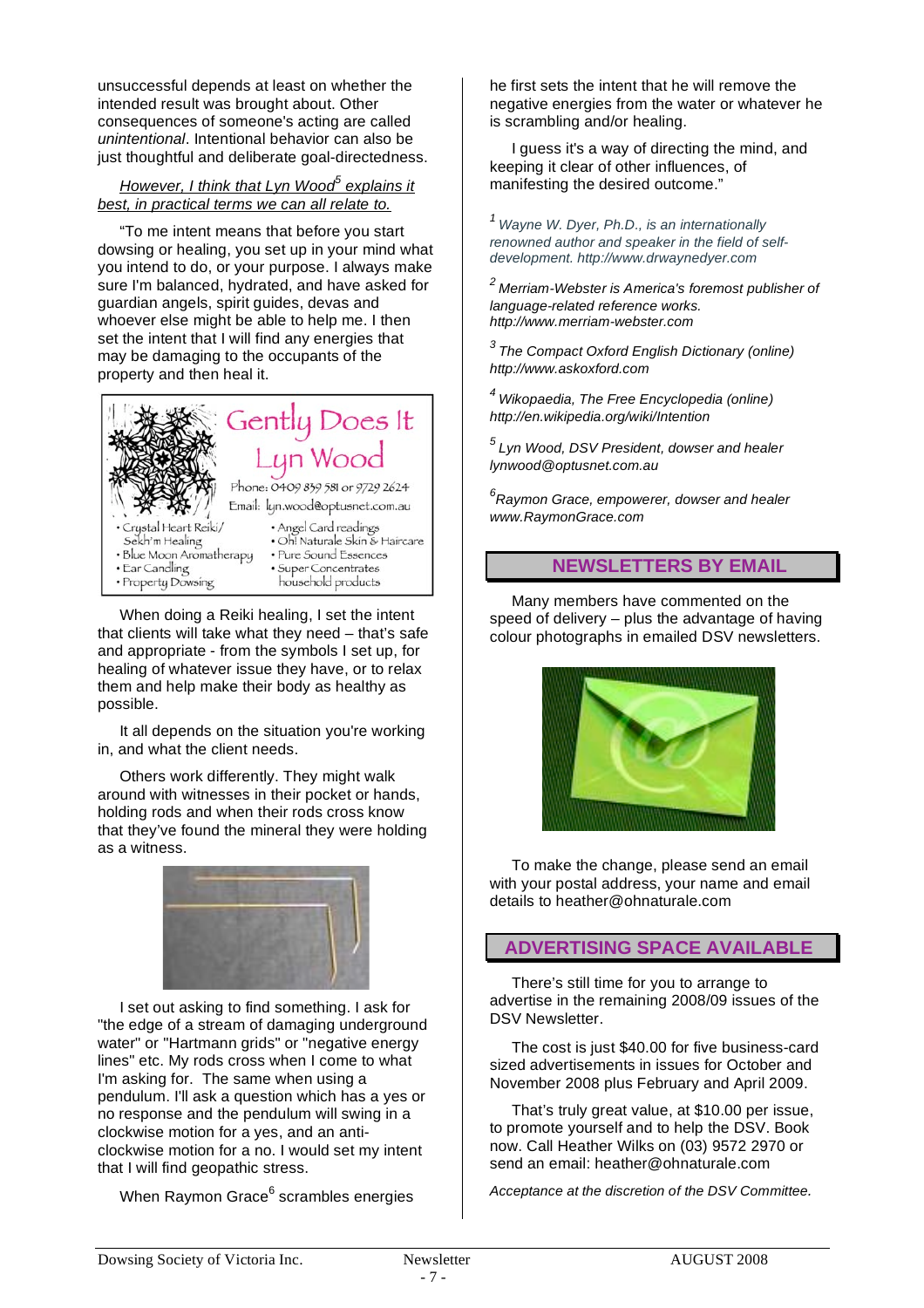unsuccessful depends at least on whether the intended result was brought about. Other consequences of someone's acting are called *unintentional*. Intentional behavior can also be just thoughtful and deliberate goal-directedness.

#### *However, I think that Lyn Wood<sup>5</sup> explains it best, in practical terms we can all relate to.*

"To me intent means that before you start dowsing or healing, you set up in your mind what you intend to do, or your purpose. I always make sure I'm balanced, hydrated, and have asked for guardian angels, spirit guides, devas and whoever else might be able to help me. I then set the intent that I will find any energies that may be damaging to the occupants of the property and then heal it.



When doing a Reiki healing, I set the intent that clients will take what they need – that's safe and appropriate - from the symbols I set up, for healing of whatever issue they have, or to relax them and help make their body as healthy as possible.

It all depends on the situation you're working in, and what the client needs.

Others work differently. They might walk around with witnesses in their pocket or hands, holding rods and when their rods cross know that they've found the mineral they were holding as a witness.



I set out asking to find something. I ask for "the edge of a stream of damaging underground water" or "Hartmann grids" or "negative energy lines" etc. My rods cross when I come to what I'm asking for. The same when using a pendulum. I'll ask a question which has a yes or no response and the pendulum will swing in a clockwise motion for a yes, and an anticlockwise motion for a no. I would set my intent that I will find geopathic stress.

When Raymon Grace<sup>6</sup> scrambles energies

he first sets the intent that he will remove the negative energies from the water or whatever he is scrambling and/or healing.

I guess it's a way of directing the mind, and keeping it clear of other influences, of manifesting the desired outcome."

*<sup>1</sup> Wayne W. Dyer, Ph.D., is an internationally renowned author and speaker in the field of selfdevelopment. http://www.drwaynedyer.com*

*<sup>2</sup> Merriam-Webster is America's foremost publisher of language-related reference works. http://www.merriam-webster.com*

*3 The Compact Oxford English Dictionary (online) http://www.askoxford.com*

*<sup>4</sup> Wikopaedia, The Free Encyclopedia (online) http://en.wikipedia.org/wiki/Intention*

*<sup>5</sup> Lyn Wood, DSV President, dowser and healer lynwood@optusnet.com.au*

*6 Raymon Grace, empowerer, dowser and healer www.RaymonGrace.com*

# **NEWSLETTERS BY EMAIL**

Many members have commented on the speed of delivery – plus the advantage of having colour photographs in emailed DSV newsletters.



To make the change, please send an email with your postal address, your name and email details to heather@ohnaturale.com

#### **ADVERTISING SPACE AVAILABLE**

There's still time for you to arrange to advertise in the remaining 2008/09 issues of the DSV Newsletter.

The cost is just \$40.00 for five business-card sized advertisements in issues for October and November 2008 plus February and April 2009.

That's truly great value, at \$10.00 per issue, to promote yourself and to help the DSV. Book now. Call Heather Wilks on (03) 9572 2970 or send an email: heather@ohnaturale.com

*Acceptance at the discretion of the DSV Committee.*